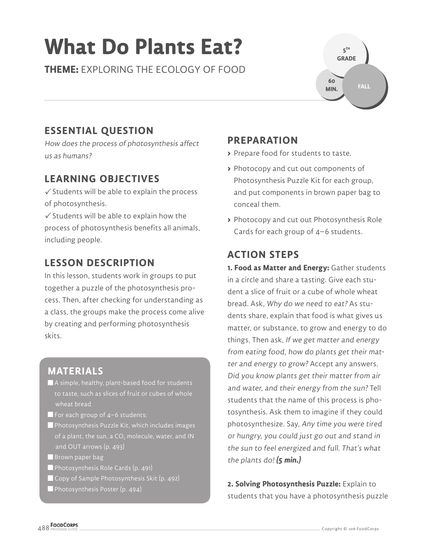# **What Do Plants Eat?**

**THEME:** EXPLORING THE ECOLOGY OF FOOD

# **ESSENTIAL QUESTION**

How does the process of photosynthesis affect us as humans?

## **LEARNING OBJECTIVES**

 $\checkmark$  Students will be able to explain the process of photosynthesis.

 $\checkmark$  Students will be able to explain how the process of photosynthesis benefits all animals, including people.

## **LESSON DESCRIPTION**

In this lesson, students work in groups to put together a puzzle of the photosynthesis process. Then, after checking for understanding as a class, the groups make the process come alive by creating and performing photosynthesis skits.

#### **MATERIALS**

- A simple, healthy, plant-based food for students to taste, such as slices of fruit or cubes of whole wheat bread
- For each group of 4–6 students:
- **Photosynthesis Puzzle Kit, which includes images** and OUT arrows (p. 493)
- $\blacksquare$  Brown paper bag
- Photosynthesis Role Cards (p. 491)
- Copy of Sample Photosynthesis Skit (p. 492)
- **Photosynthesis Poster (p. 494)**

#### **PREPARATION**

- **>** Prepare food for students to taste.
- **>** Photocopy and cut out components of Photosynthesis Puzzle Kit for each group, and put components in brown paper bag to conceal them.

**5 TH GRADE** 

**60 MIN.**

**FALL**

**>** Photocopy and cut out Photosynthesis Role Cards for each group of 4–6 students.

### **ACTION STEPS**

**1. Food as Matter and Energy:** Gather students in a circle and share a tasting. Give each student a slice of fruit or a cube of whole wheat bread. Ask, Why do we need to eat? As students share, explain that food is what gives us matter, or substance, to grow and energy to do things. Then ask, If we get matter and energy from eating food, how do plants get their matter and energy to grow? Accept any answers. Did you know plants get their matter from air and water, and their energy from the sun? Tell students that the name of this process is photosynthesis. Ask them to imagine if they could photosynthesize. Say, Any time you were tired or hungry, you could just go out and stand in the sun to feel energized and full. That's what the plants do! **(5 min.)**

**2. Solving Photosynthesis Puzzle:** Explain to students that you have a photosynthesis puzzle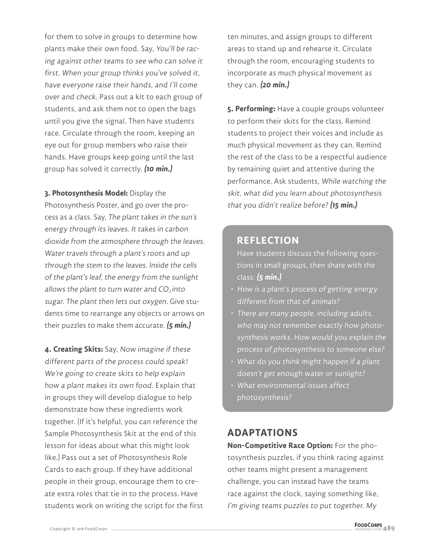for them to solve in groups to determine how plants make their own food. Say, You'll be racing against other teams to see who can solve it first. When your group thinks you've solved it, have everyone raise their hands, and I'll come over and check. Pass out a kit to each group of students, and ask them not to open the bags until you give the signal. Then have students race. Circulate through the room, keeping an eye out for group members who raise their hands. Have groups keep going until the last group has solved it correctly. **(10 min.)**

**3. Photosynthesis Model:** Display the Photosynthesis Poster, and go over the process as a class. Say, The plant takes in the sun's energy through its leaves. It takes in carbon dioxide from the atmosphere through the leaves. Water travels through a plant's roots and up through the stem to the leaves. Inside the cells of the plant's leaf, the energy from the sunlight allows the plant to turn water and  $CO<sub>2</sub>$  into sugar. The plant then lets out oxygen. Give students time to rearrange any objects or arrows on their puzzles to make them accurate. **(5 min.)**

**4. Creating Skits:** Say, Now imagine if these different parts of the process could speak! We're going to create skits to help explain how a plant makes its own food. Explain that in groups they will develop dialogue to help demonstrate how these ingredients work together. (If it's helpful, you can reference the Sample Photosynthesis Skit at the end of this lesson for ideas about what this might look like.) Pass out a set of Photosynthesis Role Cards to each group. If they have additional people in their group, encourage them to create extra roles that tie in to the process. Have students work on writing the script for the first

ten minutes, and assign groups to different areas to stand up and rehearse it. Circulate through the room, encouraging students to incorporate as much physical movement as they can. **(20 min.)**

**5. Performing:** Have a couple groups volunteer to perform their skits for the class. Remind students to project their voices and include as much physical movement as they can. Remind the rest of the class to be a respectful audience by remaining quiet and attentive during the performance. Ask students, While watching the skit, what did you learn about photosynthesis that you didn't realize before? **(15 min.)**

#### **REFLECTION**

Have students discuss the following questions in small groups, then share with the class: **(5 min.)**

- How is a plant's process of getting energy different from that of animals?
- There are many people, including adults, who may not remember exactly how photosynthesis works. How would you explain the process of photosynthesis to someone else?
- What do you think might happen if a plant doesn't get enough water or sunlight?
- What environmental issues affect photosynthesis?

#### **ADAPTATIONS**

**Non-Competitive Race Option:** For the photosynthesis puzzles, if you think racing against other teams might present a management challenge, you can instead have the teams race against the clock, saying something like, I'm giving teams puzzles to put together. My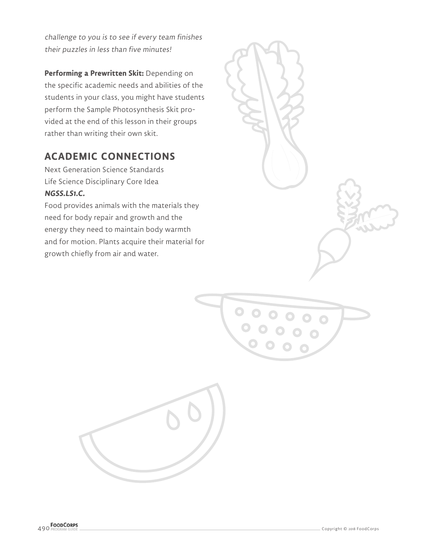challenge to you is to see if every team finishes their puzzles in less than five minutes!

**Performing a Prewritten Skit:** Depending on the specific academic needs and abilities of the students in your class, you might have students perform the Sample Photosynthesis Skit provided at the end of this lesson in their groups rather than writing their own skit.

# **ACADEMIC CONNECTIONS**

Next Generation Science Standards Life Science Disciplinary Core Idea **NGSS.LS1.C.**

Food provides animals with the materials they need for body repair and growth and the energy they need to maintain body warmth and for motion. Plants acquire their material for growth chiefly from air and water.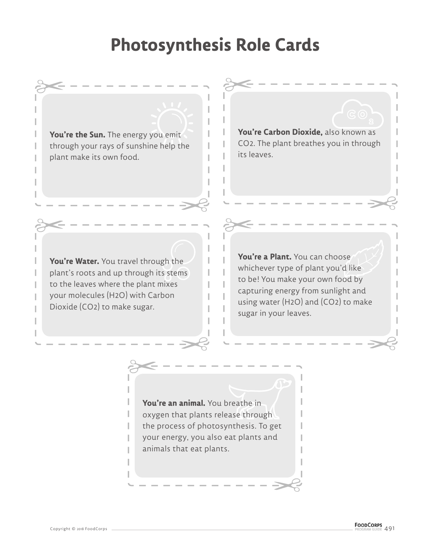# **Photosynthesis Role Cards**

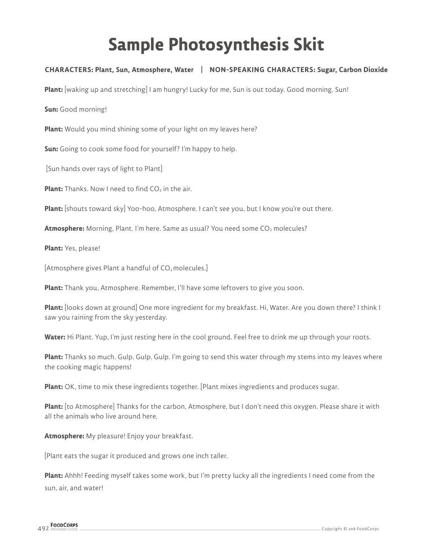# **Sample Photosynthesis Skit**

#### **CHARACTERS: Plant, Sun, Atmosphere, Water | NON-SPEAKING CHARACTERS: Sugar, Carbon Dioxide**

**Plant:** [waking up and stretching] I am hungry! Lucky for me, Sun is out today. Good morning, Sun!

**Sun:** Good morning!

**Plant:** Would you mind shining some of your light on my leaves here?

**Sun:** Going to cook some food for yourself? I'm happy to help.

[Sun hands over rays of light to Plant]

**Plant:** Thanks. Now I need to find CO<sub>2</sub> in the air.

**Plant:** [shouts toward sky] Yoo-hoo, Atmosphere. I can't see you, but I know you're out there.

Atmosphere: Morning, Plant. I'm here. Same as usual? You need some CO<sub>2</sub> molecules?

**Plant:** Yes, please!

[Atmosphere gives Plant a handful of CO<sub>2</sub> molecules.]

**Plant:** Thank you, Atmosphere. Remember, I'll have some leftovers to give you soon.

**Plant:** [looks down at ground] One more ingredient for my breakfast. Hi, Water. Are you down there? I think I saw you raining from the sky yesterday.

**Water:** Hi Plant. Yup, I'm just resting here in the cool ground. Feel free to drink me up through your roots.

**Plant:** Thanks so much. Gulp. Gulp. Gulp. I'm going to send this water through my stems into my leaves where the cooking magic happens!

**Plant:** OK, time to mix these ingredients together. [Plant mixes ingredients and produces sugar.

**Plant:** [to Atmosphere] Thanks for the carbon, Atmosphere, but I don't need this oxygen. Please share it with all the animals who live around here.

**Atmosphere:** My pleasure! Enjoy your breakfast.

[Plant eats the sugar it produced and grows one inch taller.

**Plant:** Ahhh! Feeding myself takes some work, but I'm pretty lucky all the ingredients I need come from the sun, air, and water!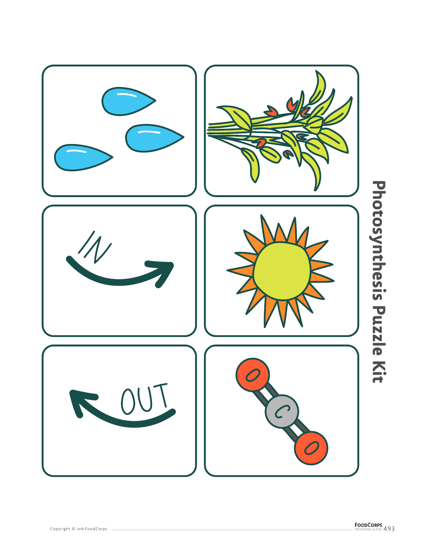